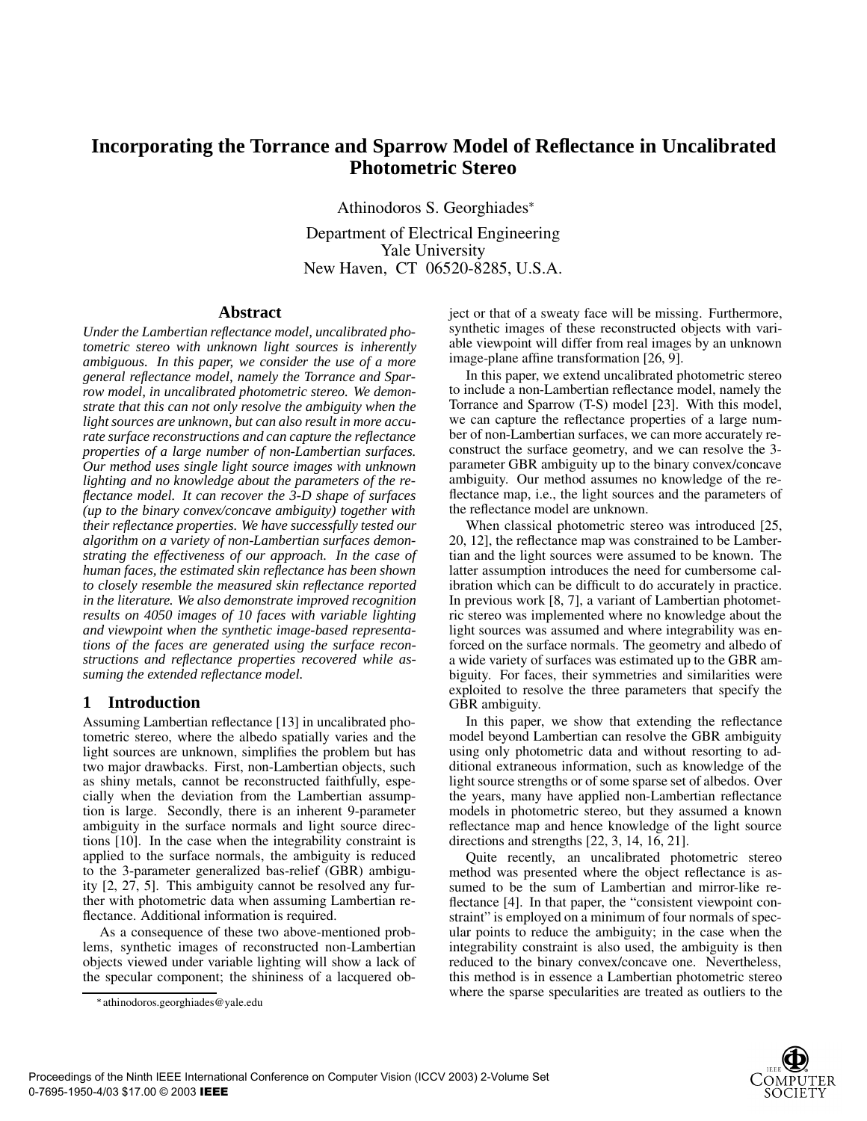# **Incorporating the Torrance and Sparrow Model of Reflectance in Uncalibrated Photometric Stereo**

Athinodoros S. Georghiades

Department of Electrical Engineering Yale University New Haven, CT 06520-8285, U.S.A.

#### **Abstract**

*Under the Lambertian reflectance model, uncalibrated photometric stereo with unknown light sources is inherently ambiguous. In this paper, we consider the use of a more general reflectance model, namely the Torrance and Sparrow model, in uncalibrated photometric stereo. We demonstrate that this can not only resolve the ambiguity when the light sources are unknown, but can also result in more accurate surface reconstructions and can capture the reflectance properties of a large number of non-Lambertian surfaces. Our method uses single light source images with unknown lighting and no knowledge about the parameters of the reflectance model. It can recover the 3-D shape of surfaces (up to the binary convex/concave ambiguity) together with their reflectance properties. We have successfully tested our algorithm on a variety of non-Lambertian surfaces demonstrating the effectiveness of our approach. In the case of human faces, the estimated skin reflectance has been shown to closely resemble the measured skin reflectance reported in the literature. We also demonstrate improved recognition results on 4050 images of 10 faces with variable lighting and viewpoint when the synthetic image-based representations of the faces are generated using the surface reconstructions and reflectance properties recovered while assuming the extended reflectance model.*

## **1 Introduction**

Assuming Lambertian reflectance [13] in uncalibrated photometric stereo, where the albedo spatially varies and the light sources are unknown, simplifies the problem but has two major drawbacks. First, non-Lambertian objects, such as shiny metals, cannot be reconstructed faithfully, especially when the deviation from the Lambertian assumption is large. Secondly, there is an inherent 9-parameter ambiguity in the surface normals and light source directions [10]. In the case when the integrability constraint is applied to the surface normals, the ambiguity is reduced to the 3-parameter generalized bas-relief (GBR) ambiguity [2, 27, 5]. This ambiguity cannot be resolved any further with photometric data when assuming Lambertian reflectance. Additional information is required.

As a consequence of these two above-mentioned problems, synthetic images of reconstructed non-Lambertian objects viewed under variable lighting will show a lack of the specular component; the shininess of a lacquered object or that of a sweaty face will be missing. Furthermore, synthetic images of these reconstructed objects with variable viewpoint will differ from real images by an unknown image-plane affine transformation [26, 9].

In this paper, we extend uncalibrated photometric stereo to include a non-Lambertian reflectance model, namely the Torrance and Sparrow (T-S) model [23]. With this model, we can capture the reflectance properties of a large number of non-Lambertian surfaces, we can more accurately reconstruct the surface geometry, and we can resolve the 3 parameter GBR ambiguity up to the binary convex/concave ambiguity. Our method assumes no knowledge of the reflectance map, i.e., the light sources and the parameters of the reflectance model are unknown.

When classical photometric stereo was introduced [25, 20, 12], the reflectance map was constrained to be Lambertian and the light sources were assumed to be known. The latter assumption introduces the need for cumbersome calibration which can be difficult to do accurately in practice. In previous work [8, 7], a variant of Lambertian photometric stereo was implemented where no knowledge about the light sources was assumed and where integrability was enforced on the surface normals. The geometry and albedo of a wide variety of surfaces was estimated up to the GBR ambiguity. For faces, their symmetries and similarities were exploited to resolve the three parameters that specify the GBR ambiguity.

In this paper, we show that extending the reflectance model beyond Lambertian can resolve the GBR ambiguity using only photometric data and without resorting to additional extraneous information, such as knowledge of the light source strengths or of some sparse set of albedos. Over the years, many have applied non-Lambertian reflectance models in photometric stereo, but they assumed a known reflectance map and hence knowledge of the light source directions and strengths [22, 3, 14, 16, 21].

Quite recently, an uncalibrated photometric stereo method was presented where the object reflectance is assumed to be the sum of Lambertian and mirror-like reflectance [4]. In that paper, the "consistent viewpoint constraint" is employed on a minimum of four normals of specular points to reduce the ambiguity; in the case when the integrability constraint is also used, the ambiguity is then reduced to the binary convex/concave one. Nevertheless, this method is in essence a Lambertian photometric stereo where the sparse specularities are treated as outliers to the

athinodoros.georghiades@yale.edu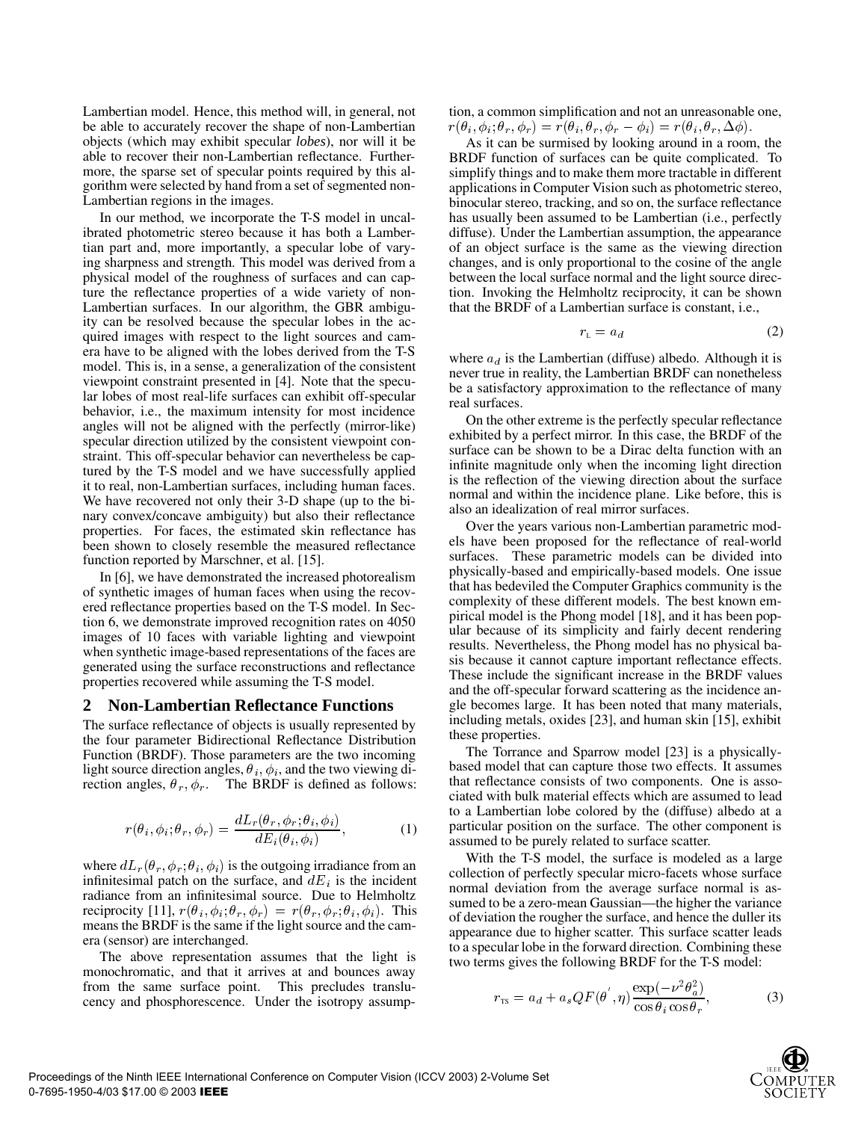Lambertian model. Hence, this method will, in general, not be able to accurately recover the shape of non-Lambertian objects (which may exhibit specular *lobes*), nor will it be able to recover their non-Lambertian reflectance. Furthermore, the sparse set of specular points required by this algorithm were selected by hand from a set of segmented non-Lambertian regions in the images.

In our method, we incorporate the T-S model in uncalibrated photometric stereo because it has both a Lambertian part and, more importantly, a specular lobe of varying sharpness and strength. This model was derived from a physical model of the roughness of surfaces and can capture the reflectance properties of a wide variety of non-Lambertian surfaces. In our algorithm, the GBR ambiguity can be resolved because the specular lobes in the acquired images with respect to the light sources and camera have to be aligned with the lobes derived from the T-S model. This is, in a sense, a generalization of the consistent viewpoint constraint presented in [4]. Note that the specular lobes of most real-life surfaces can exhibit off-specular behavior, i.e., the maximum intensity for most incidence angles will not be aligned with the perfectly (mirror-like) specular direction utilized by the consistent viewpoint constraint. This off-specular behavior can nevertheless be captured by the T-S model and we have successfully applied it to real, non-Lambertian surfaces, including human faces. We have recovered not only their 3-D shape (up to the binary convex/concave ambiguity) but also their reflectance properties. For faces, the estimated skin reflectance has been shown to closely resemble the measured reflectance function reported by Marschner, et al. [15].

In [6], we have demonstrated the increased photorealism of synthetic images of human faces when using the recovered reflectance properties based on the T-S model. In Section 6, we demonstrate improved recognition rates on 4050 images of 10 faces with variable lighting and viewpoint when synthetic image-based representations of the faces are generated using the surface reconstructions and reflectance properties recovered while assuming the T-S model.

#### **2 Non-Lambertian Reflectance Functions**

The surface reflectance of objects is usually represented by the four parameter Bidirectional Reflectance Distribution Function (BRDF). Those parameters are the two incoming light source direction angles,  $\theta_i$ ,  $\phi_i$ , and the two viewing direction angles,  $\theta_r$ ,  $\phi_r$ . The BRDF is defined as follows:

$$
r(\theta_i, \phi_i; \theta_r, \phi_r) = \frac{dL_r(\theta_r, \phi_r; \theta_i, \phi_i)}{dE_i(\theta_i, \phi_i)},
$$
(1)

where  $dL_r(\theta_r, \phi_r; \theta_i, \phi_i)$  is the outgoing irradiance from an infinitesimal patch on the surface, and  $dE_i$  is the incident radiance from an infinitesimal source. Due to Helmholtz reciprocity [11],  $r(\theta_i, \phi_i; \theta_r, \phi_r) = r(\theta_r, \phi_r; \theta_i, \phi_i)$ . This means the BRDF is the same if the light source and the camera (sensor) are interchanged.

The above representation assumes that the light is monochromatic, and that it arrives at and bounces away from the same surface point. This precludes translucency and phosphorescence. Under the isotropy assumption, a common simplification and not an unreasonable one,  $r(\theta_i, \phi_i; \theta_r, \phi_r) = r(\theta_i, \theta_r, \phi_r - \phi_i) = r(\theta_i, \theta_r, \Delta \phi).$ 

As it can be surmised by looking around in a room, the BRDF function of surfaces can be quite complicated. To simplify things and to make them more tractable in different applications in Computer Vision such as photometric stereo, binocular stereo, tracking, and so on, the surface reflectance has usually been assumed to be Lambertian (i.e., perfectly diffuse). Under the Lambertian assumption, the appearance of an object surface is the same as the viewing direction changes, and is only proportional to the cosine of the angle between the local surface normal and the light source direction. Invoking the Helmholtz reciprocity, it can be shown that the BRDF of a Lambertian surface is constant, i.e.,

$$
r_{\rm L} = a_d \tag{2}
$$

where  $a_d$  is the Lambertian (diffuse) albedo. Although it is never true in reality, the Lambertian BRDF can nonetheless be a satisfactory approximation to the reflectance of many real surfaces.

On the other extreme is the perfectly specular reflectance exhibited by a perfect mirror. In this case, the BRDF of the surface can be shown to be a Dirac delta function with an infinite magnitude only when the incoming light direction is the reflection of the viewing direction about the surface normal and within the incidence plane. Like before, this is also an idealization of real mirror surfaces.

Over the years various non-Lambertian parametric models have been proposed for the reflectance of real-world surfaces. These parametric models can be divided into physically-based and empirically-based models. One issue that has bedeviled the Computer Graphics community is the complexity of these different models. The best known empirical model is the Phong model [18], and it has been popular because of its simplicity and fairly decent rendering results. Nevertheless, the Phong model has no physical basis because it cannot capture important reflectance effects. These include the significant increase in the BRDF values and the off-specular forward scattering as the incidence angle becomes large. It has been noted that many materials, including metals, oxides [23], and human skin [15], exhibit these properties.

The Torrance and Sparrow model [23] is a physicallybased model that can capture those two effects. It assumes that reflectance consists of two components. One is associated with bulk material effects which are assumed to lead to a Lambertian lobe colored by the (diffuse) albedo at a particular position on the surface. The other component is assumed to be purely related to surface scatter.

With the T-S model, the surface is modeled as a large collection of perfectly specular micro-facets whose surface normal deviation from the average surface normal is assumed to be a zero-mean Gaussian—the higher the variance of deviation the rougher the surface, and hence the duller its appearance due to higher scatter. This surface scatter leads to a specular lobe in the forward direction. Combining these two terms gives the following BRDF for the T-S model:

$$
r_{\rm TS} = a_d + a_s Q F(\theta', \eta) \frac{\exp(-\nu^2 \theta_a^2)}{\cos \theta_i \cos \theta_r},\tag{3}
$$

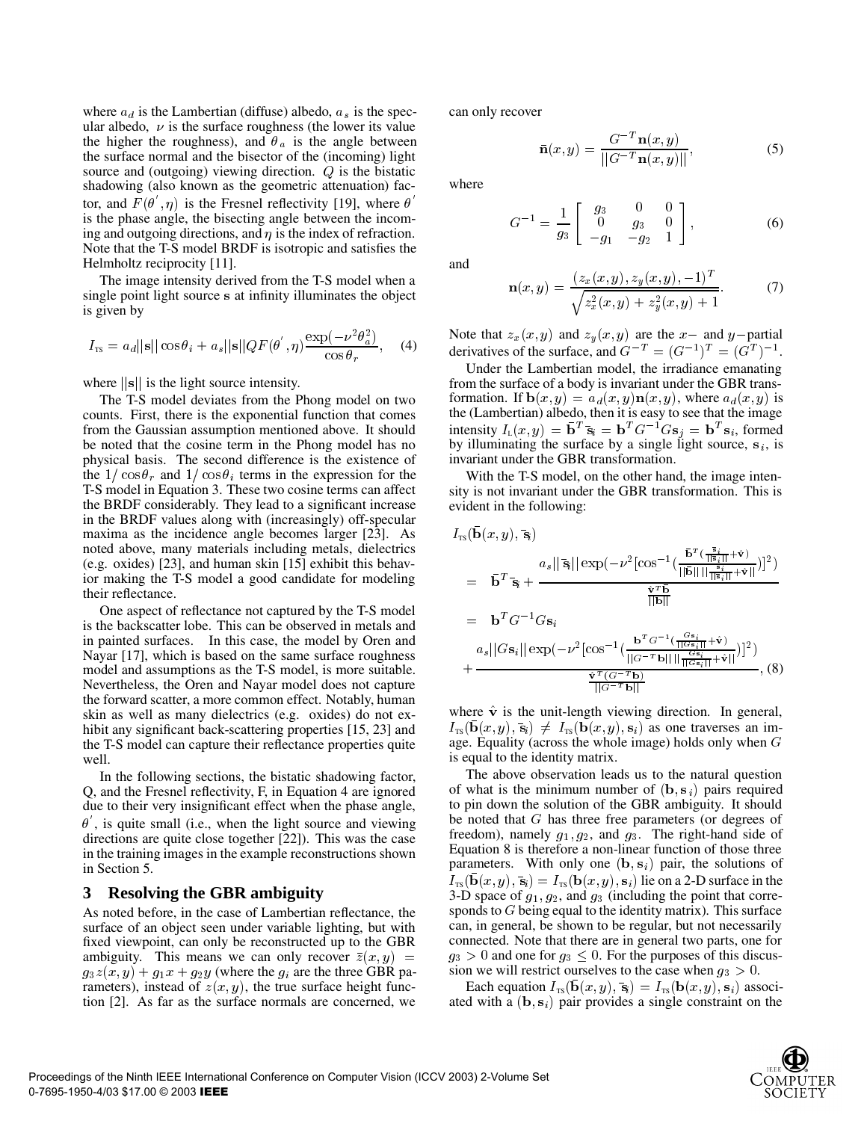where  $a_d$  is the Lambertian (diffuse) albedo,  $a_s$  is the specular albedo,  $\nu$  is the surface roughness (the lower its value the higher the roughness), and  $\theta_a$  is the angle between the surface normal and the bisector of the (incoming) light source and (outgoing) viewing direction.  $Q$  is the bistatic shadowing (also known as the geometric attenuation) factor, and  $F(\theta, \eta)$  is the Fresnel reflectivity [19], where  $\theta$ is the phase angle, the bisecting angle between the incoming and outgoing directions, and  $\eta$  is the index of refraction. Note that the T-S model BRDF is isotropic and satisfies the Helmholtz reciprocity [11].

The image intensity derived from the T-S model when a single point light source s at infinity illuminates the object is given by

$$
I_{\rm TS} = a_d ||\mathbf{s}|| \cos \theta_i + a_s ||\mathbf{s}|| Q F(\theta', \eta) \frac{\exp(-\nu^2 \theta_a^2)}{\cos \theta_r}, \quad (4)
$$

where  $\|\mathbf{s}\|$  is the light source intensity.

The T-S model deviates from the Phong model on two counts. First, there is the exponential function that comes from the Gaussian assumption mentioned above. It should be noted that the cosine term in the Phong model has no physical basis. The second difference is the existence of the  $1/\cos\theta_r$  and  $1/\cos\theta_i$  terms in the expression for the T-S model in Equation 3. These two cosine terms can affect the BRDF considerably. They lead to a significant increase in the BRDF values along with (increasingly) off-specular maxima as the incidence angle becomes larger [23]. As noted above, many materials including metals, dielectrics (e.g. oxides) [23], and human skin [15] exhibit this behavior making the T-S model a good candidate for modeling their reflectance.

One aspect of reflectance not captured by the T-S model is the backscatter lobe. This can be observed in metals and in painted surfaces. In this case, the model by Oren and Nayar [17], which is based on the same surface roughness model and assumptions as the T-S model, is more suitable. Nevertheless, the Oren and Nayar model does not capture the forward scatter, a more common effect. Notably, human skin as well as many dielectrics (e.g. oxides) do not exhibit any significant back-scattering properties [15, 23] and the T-S model can capture their reflectance properties quite well.

In the following sections, the bistatic shadowing factor, Q, and the Fresnel reflectivity, F, in Equation 4 are ignored due to their very insignificant effect when the phase angle,  $\theta$ , is quite small (i.e., when the light source and viewing directions are quite close together [22]). This was the case in the training images in the example reconstructions shown in Section 5.

## **3 Resolving the GBR ambiguity**

As noted before, in the case of Lambertian reflectance, the surface of an object seen under variable lighting, but with fixed viewpoint, can only be reconstructed up to the GBR ambiguity. This means we can only recover  $\overline{z}(x, y)$  =  $g_3z(x,y) + g_1x + g_2y$  (where the  $g_i$  are the three GBR parameters), instead of  $z(x, y)$ , the true surface height function [2]. As far as the surface normals are concerned, we can only recover

$$
\bar{\mathbf{n}}(x,y) = \frac{G^{-T}\mathbf{n}(x,y)}{\|G^{-T}\mathbf{n}(x,y)\|},\tag{5}
$$

where

$$
G^{-1} = \frac{1}{g_3} \begin{bmatrix} g_3 & 0 & 0 \\ 0 & g_3 & 0 \\ -g_1 & -g_2 & 1 \end{bmatrix},
$$
 (6)

and

$$
\mathbf{n}(x,y) = \frac{(z_x(x,y), z_y(x,y), -1)^T}{\sqrt{z_x^2(x,y) + z_y^2(x,y) + 1}}.
$$
 (7)

Note that  $z_x(x, y)$  and  $z_y(x, y)$  are the x- and y-partial derivatives of the surface, and  $G^{-T} = (G^{-1})^T = (G^T)^{-1}$ .

Under the Lambertian model, the irradiance emanating from the surface of a body is invariant under the GBR transformation. If  $\mathbf{b}(x, y) = a_d(x, y) \mathbf{n}(x, y)$ , where  $a_d(x, y)$  is the (Lambertian) albedo, then it is easy to see that the image intensity  $I_{L}(x, y) = \mathbf{b}^{T} \mathbf{\bar{s}}_{i} = \mathbf{b}^{T} G^{-1} G \mathbf{s}_{j} = \mathbf{b}^{T} \mathbf{s}_{i}$ , formed by illuminating the surface by a single light source,  $s_i$ , is invariant under the GBR transformation.

With the T-S model, on the other hand, the image intensity is not invariant under the GBR transformation. This is evident in the following:

$$
I_{\text{TS}}(\bar{\mathbf{b}}(x, y), \bar{\mathbf{s}})
$$
\n
$$
= \bar{\mathbf{b}}^T \bar{\mathbf{s}}_i + \frac{a_s ||\bar{\mathbf{s}}_i|| \exp(-\nu^2 [\cos^{-1}(\frac{\bar{\mathbf{b}}^T (\frac{\bar{\mathbf{s}}_i}{||\bar{\mathbf{s}}_i||} + \hat{\mathbf{v}}||)}{||\bar{\mathbf{b}}||})]^2)}{\frac{\hat{\mathbf{v}}^T \bar{\mathbf{b}}}{||\bar{\mathbf{b}}||}}
$$
\n
$$
= \mathbf{b}^T G^{-1} G \mathbf{s}_i
$$
\n
$$
a_s ||G \mathbf{s}_i|| \exp(-\nu^2 [\cos^{-1}(\frac{\mathbf{b}^T G^{-1} (\frac{G \mathbf{s}_i}{||G \mathbf{s}_i||} + \hat{\mathbf{v}})}{||G^{-T} \mathbf{b}}])]^2)
$$
\n
$$
+ \frac{\hat{\mathbf{v}}^T (G^{-T} \mathbf{b})}{||G^{-T} \mathbf{b}||}}
$$
\n(8)

where  $\hat{v}$  is the unit-length viewing direction. In general,  $I_{\text{TS}}(\mathbf{b}(x, y), \bar{\mathbf{s}}) \neq I_{\text{TS}}(\mathbf{b}(x, y), \mathbf{s}_i)$  as one traverses an image. Equality (across the whole image) holds only when  $G$ is equal to the identity matrix.

 $=$   $g_3 > 0$  and one for  $g_3 \leq 0$ . For the purposes of this discus-The above observation leads us to the natural question of what is the minimum number of  $(b, s_i)$  pairs required to pin down the solution of the GBR ambiguity. It should be noted that  $G$  has three free parameters (or degrees of freedom), namely  $g_1, g_2$ , and  $g_3$ . The right-hand side of Equation 8 is therefore a non-linear function of those three parameters. With only one  $(b, s_i)$  pair, the solutions of  $I_{\text{TS}}(\mathbf{b}(x, y), \bar{\mathbf{s}}_i) = I_{\text{TS}}(\mathbf{b}(x, y), \mathbf{s}_i)$  lie on a 2-D surface in the 3-D space of  $g_1, g_2$ , and  $g_3$  (including the point that corresponds to  $G$  being equal to the identity matrix). This surface can, in general, be shown to be regular, but not necessarily connected. Note that there are in general two parts, one for sion we will restrict ourselves to the case when  $g_3 > 0$ .

> Each equation  $I_{TS}(\mathbf{b}(x, y), \overline{\mathbf{s}}_i) = I_{TS}(\mathbf{b}(x, y), \mathbf{s}_i)$  associated with a  $(\mathbf{b}, \mathbf{s}_i)$  pair provides a single constraint on the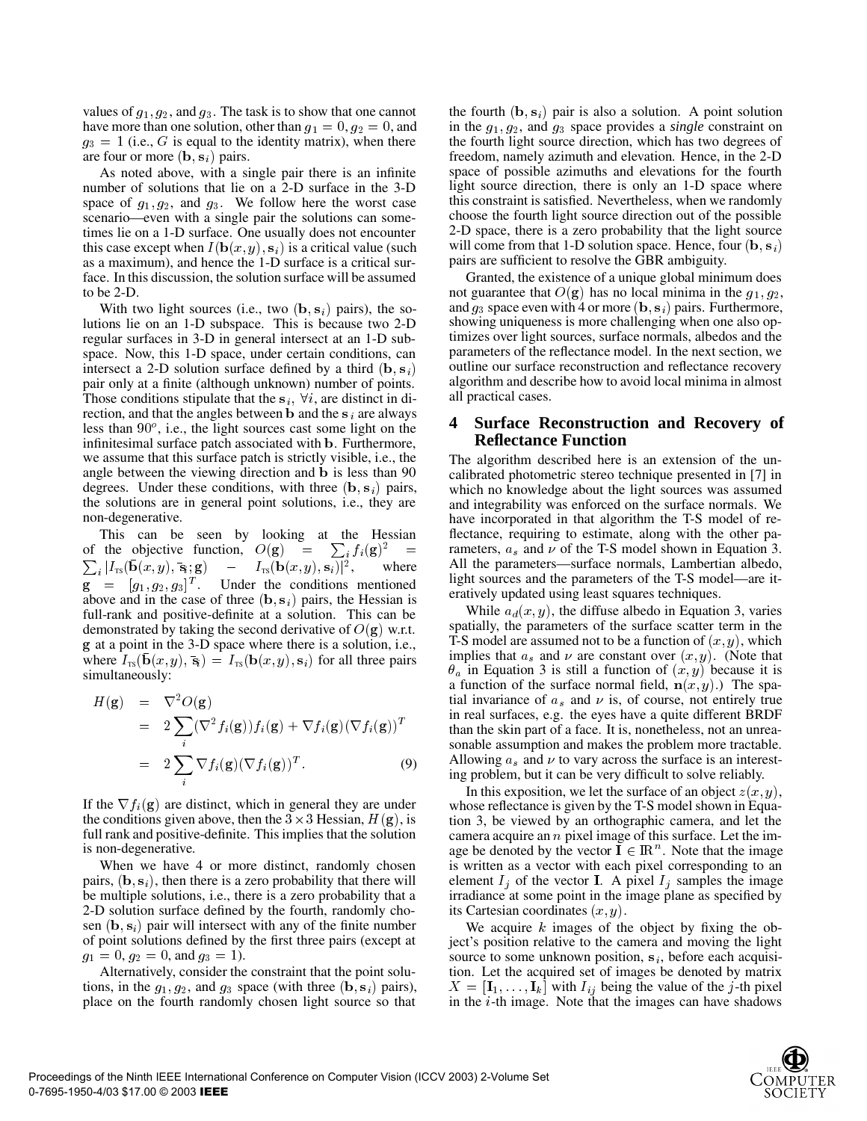values of  $g_1, g_2$ , and  $g_3$ . The task is to show that one cannot have more than one solution, other than  $g_1 = 0, g_2 = 0$ , and  $g_3 = 1$  (i.e., G is equal to the identity matrix), when there are four or more  $(\mathbf{b}, \mathbf{s}_i)$  pairs.

As noted above, with a single pair there is an infinite number of solutions that lie on a 2-D surface in the 3-D space of  $g_1, g_2$ , and  $g_3$ . We follow here the worst case scenario—even with a single pair the solutions can sometimes lie on a 1-D surface. One usually does not encounter this case except when  $I(\mathbf{b}(x, y), \mathbf{s}_i)$  is a critical value (such as a maximum), and hence the 1-D surface is a critical surface. In this discussion, the solution surface will be assumed to be 2-D.

With two light sources (i.e., two  $(b, s_i)$  pairs), the solutions lie on an 1-D subspace. This is because two 2-D regular surfaces in 3-D in general intersect at an 1-D subspace. Now, this 1-D space, under certain conditions, can intersect a 2-D solution surface defined by a third  $(b, s_i)$ pair only at a finite (although unknown) number of points. Those conditions stipulate that the  $s_i$ ,  $\forall i$ , are distinct in direction, and that the angles between **b** and the  $s_i$  are always less than  $90^\circ$ , i.e., the light sources cast some light on the infinitesimal surface patch associated with **b**. Furthermore, we assume that this surface patch is strictly visible, i.e., the angle between the viewing direction and **b** is less than 90 degrees. Under these conditions, with three  $(\mathbf{b}, \mathbf{s}_i)$  pairs, the solutions are in general point solutions, i.e., they are non-degenerative.

This can be seen by looking at the Hessian of the objective function,  $O(g) = \sum_i f_i(g)^2 = \Gamma_i$   $I_i | I_{\text{TS}}(\mathbf{D}(x, y), \mathbf{s}_i; \mathbf{g}) = I_{\text{TS}}(\mathbf{D}(x, y), \mathbf{s}_i)|$ , w where  $\mathbf{g} = [g_1, g_2, g_3]^T$ . Under the conditions mentioned above and in the case of three  $(\mathbf{b}, \mathbf{s}_i)$  pairs, the Hessian is full-rank and positive-definite at a solution. This can be demonstrated by taking the second derivative of  $O(g)$  w.r.t. at a point in the 3-D space where there is a solution, i.e., where  $I_{TS}(\mathbf{b}(x, y), \bar{\mathbf{s}}_i) = I_{TS}(\mathbf{b}(x, y), \mathbf{s}_i)$  for all three pairs simultaneously:

$$
H(\mathbf{g}) = \nabla^2 O(\mathbf{g})
$$
  
\n
$$
= 2 \sum_{i} (\nabla^2 f_i(\mathbf{g})) f_i(\mathbf{g}) + \nabla f_i(\mathbf{g}) (\nabla f_i(\mathbf{g}))^T
$$
  
\n
$$
= 2 \sum_{i} \nabla f_i(\mathbf{g}) (\nabla f_i(\mathbf{g}))^T.
$$
 (9)

If the  $\nabla f_i(\mathbf{g})$  are distinct, which in general they are under the conditions given above, then the  $3 \times 3$  Hessian,  $H(\mathbf{g})$ , is full rank and positive-definite. This implies that the solution is non-degenerative.

When we have 4 or more distinct, randomly chosen pairs,  $(\mathbf{b}, \mathbf{s}_i)$ , then there is a zero probability that there will be multiple solutions, i.e., there is a zero probability that a 2-D solution surface defined by the fourth, randomly chosen  $(\mathbf{b}, \mathbf{s}_i)$  pair will intersect with any of the finite number of point solutions defined by the first three pairs (except at  $g_1 = 0, g_2 = 0, \text{ and } g_3 = 1$ .

Alternatively, consider the constraint that the point solutions, in the  $g_1, g_2$ , and  $g_3$  space (with three  $(b, s_i)$  pairs), place on the fourth randomly chosen light source so that

the fourth  $(\mathbf{b}, \mathbf{s}_i)$  pair is also a solution. A point solution in the  $g_1, g_2$ , and  $g_3$  space provides a *single* constraint on the fourth light source direction, which has two degrees of freedom, namely azimuth and elevation. Hence, in the 2-D space of possible azimuths and elevations for the fourth light source direction, there is only an 1-D space where this constraint is satisfied. Nevertheless, when we randomly choose the fourth light source direction out of the possible 2-D space, there is a zero probability that the light source will come from that 1-D solution space. Hence, four  $(b, s_i)$ pairs are sufficient to resolve the GBR ambiguity.

 outline our surface reconstruction and reflectance recovery Granted, the existence of a unique global minimum does not guarantee that  $O(g)$  has no local minima in the  $g_1, g_2$ , and  $g_3$  space even with 4 or more  $(\mathbf{b}, \mathbf{s}_i)$  pairs. Furthermore, showing uniqueness is more challenging when one also optimizes over light sources, surface normals, albedos and the parameters of the reflectance model. In the next section, we algorithm and describe how to avoid local minima in almost all practical cases.

## **4 Surface Reconstruction and Recovery of Reflectance Function**

 $=$  rameters,  $a_s$  and  $\nu$  of the T-S model shown in Equation 3. The algorithm described here is an extension of the uncalibrated photometric stereo technique presented in [7] in which no knowledge about the light sources was assumed and integrability was enforced on the surface normals. We have incorporated in that algorithm the T-S model of reflectance, requiring to estimate, along with the other pa-All the parameters—surface normals, Lambertian albedo, light sources and the parameters of the T-S model—are iteratively updated using least squares techniques.

> While  $a_d(x, y)$ , the diffuse albedo in Equation 3, varies spatially, the parameters of the surface scatter term in the T-S model are assumed not to be a function of  $(x, y)$ , which implies that  $a_s$  and  $\nu$  are constant over  $(x, y)$ . (Note that  $\theta_a$  in Equation 3 is still a function of  $(x, y)$  because it is a function of the surface normal field,  $\mathbf{n}(x, y)$ .) The spatial invariance of  $a_s$  and  $\nu$  is, of course, not entirely true in real surfaces, e.g. the eyes have a quite different BRDF than the skin part of a face. It is, nonetheless, not an unreasonable assumption and makes the problem more tractable. Allowing  $a_s$  and  $\nu$  to vary across the surface is an interesting problem, but it can be very difficult to solve reliably.

In this exposition, we let the surface of an object  $z(x, y)$ , whose reflectance is given by the T-S model shown in Equation 3, be viewed by an orthographic camera, and let the camera acquire an  $n$  pixel image of this surface. Let the image be denoted by the vector  $I \in \mathbb{R}^n$ . Note that the image is written as a vector with each pixel corresponding to an element  $I_i$  of the vector **I**. A pixel  $I_i$  samples the image irradiance at some point in the image plane as specified by its Cartesian coordinates  $(x, y)$ .

We acquire  $k$  images of the object by fixing the object's position relative to the camera and moving the light source to some unknown position,  $s_i$ , before each acquisition. Let the acquired set of images be denoted by matrix  $X = [\mathbf{I}_1, \dots, \mathbf{I}_k]$  with  $I_{ij}$  being the value of the j-th pixel in the  $i$ -th image. Note that the images can have shadows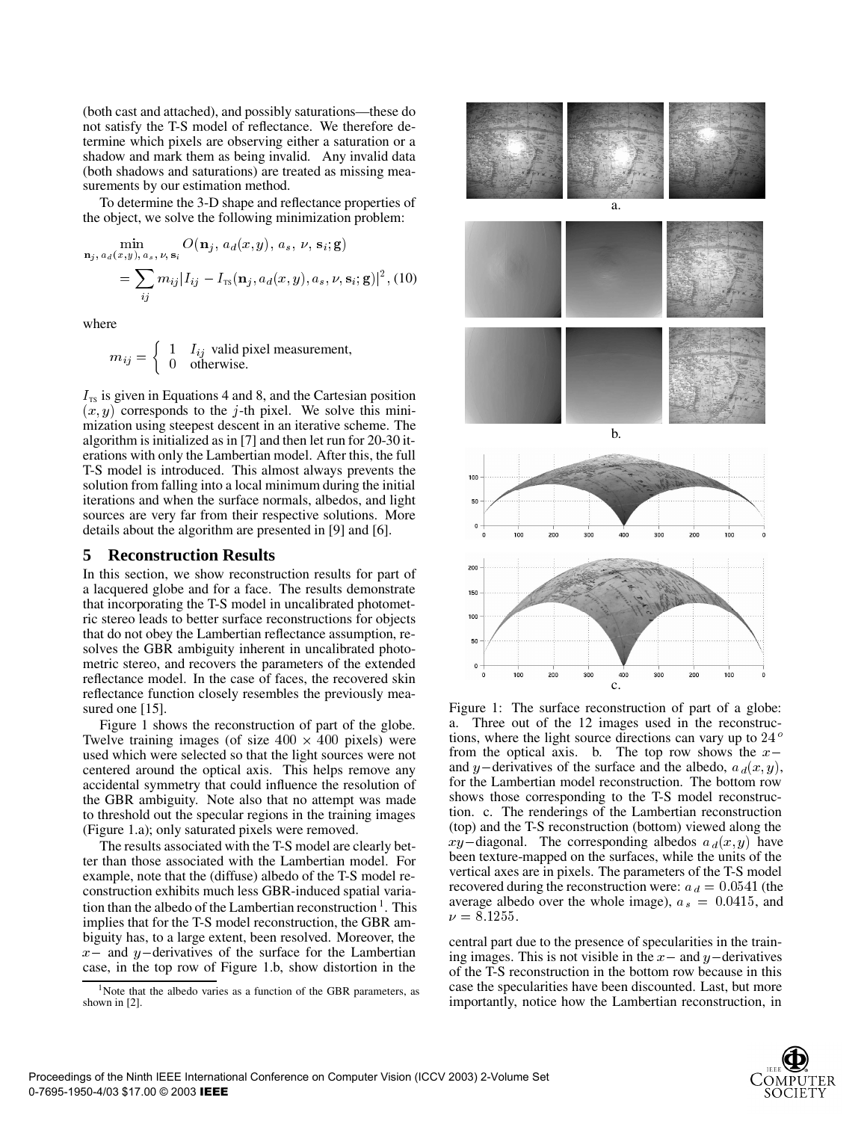(both cast and attached), and possibly saturations—these do not satisfy the T-S model of reflectance. We therefore determine which pixels are observing either a saturation or a shadow and mark them as being invalid. Any invalid data (both shadows and saturations) are treated as missing measurements by our estimation method.

To determine the 3-D shape and reflectance properties of the object, we solve the following minimization problem:

$$
\min_{\mathbf{n}_j, a_d(x,y), a_s, \nu, \mathbf{s}_i} O(\mathbf{n}_j, a_d(x,y), a_s, \nu, \mathbf{s}_i; \mathbf{g})
$$
  
= 
$$
\sum_{ij} m_{ij} |I_{ij} - I_{\text{TS}}(\mathbf{n}_j, a_d(x,y), a_s, \nu, \mathbf{s}_i; \mathbf{g})|^2
$$
, (10)

where

$$
m_{ij} = \begin{cases} 1 & I_{ij} \text{ valid pixel measurement,} \\ 0 & \text{otherwise.} \end{cases}
$$

 $I_{\text{TS}}$  is given in Equations 4 and 8, and the Cartesian position  $(x, y)$  corresponds to the j-th pixel. We solve this minimization using steepest descent in an iterative scheme. The algorithm is initialized as in [7] and then let run for 20-30 iterations with only the Lambertian model. After this, the full T-S model is introduced. This almost always prevents the solution from falling into a local minimum during the initial iterations and when the surface normals, albedos, and light sources are very far from their respective solutions. More details about the algorithm are presented in [9] and [6].

## **5 Reconstruction Results**

In this section, we show reconstruction results for part of a lacquered globe and for a face. The results demonstrate that incorporating the T-S model in uncalibrated photometric stereo leads to better surface reconstructions for objects that do not obey the Lambertian reflectance assumption, resolves the GBR ambiguity inherent in uncalibrated photometric stereo, and recovers the parameters of the extended reflectance model. In the case of faces, the recovered skin reflectance function closely resembles the previously measured one [15].

Figure 1 shows the reconstruction of part of the globe. Twelve training images (of size  $400 \times 400$  pixels) were used which were selected so that the light sources were not centered around the optical axis. This helps remove any accidental symmetry that could influence the resolution of the GBR ambiguity. Note also that no attempt was made to threshold out the specular regions in the training images (Figure 1.a); only saturated pixels were removed.

The results associated with the T-S model are clearly better than those associated with the Lambertian model. For example, note that the (diffuse) albedo of the T-S model reconstruction exhibits much less GBR-induced spatial variation than the albedo of the Lambertian reconstruction  $\frac{1}{1}$ . This implies that for the T-S model reconstruction, the GBR ambiguity has, to a large extent, been resolved. Moreover, the  $x$ - and  $y$ -derivatives of the surface for the Lambertian case, in the top row of Figure 1.b, show distortion in the



Figure 1: The surface reconstruction of part of a globe: a. Three out of the 12 images used in the reconstructions, where the light source directions can vary up to 24<sup>°</sup> from the optical axis. b. The top row shows the  $x$ and y-derivatives of the surface and the albedo,  $a_d(x, y)$ , for the Lambertian model reconstruction. The bottom row shows those corresponding to the T-S model reconstruction. c. The renderings of the Lambertian reconstruction (top) and the T-S reconstruction (bottom) viewed along the  $xy$ -diagonal. The corresponding albedos  $a_d(x, y)$  have been texture-mapped on the surfaces, while the units of the vertical axes are in pixels. The parameters of the T-S model recovered during the reconstruction were:  $a_d = 0.0541$  (the average albedo over the whole image),  $a_s = 0.0415$ , and  $\nu = 8.1255$ .

central part due to the presence of specularities in the training images. This is not visible in the  $x-$  and  $y-$  derivatives of the T-S reconstruction in the bottom row because in this case the specularities have been discounted. Last, but more importantly, notice how the Lambertian reconstruction, in

<sup>&</sup>lt;sup>1</sup>Note that the albedo varies as a function of the GBR parameters, as shown in [2].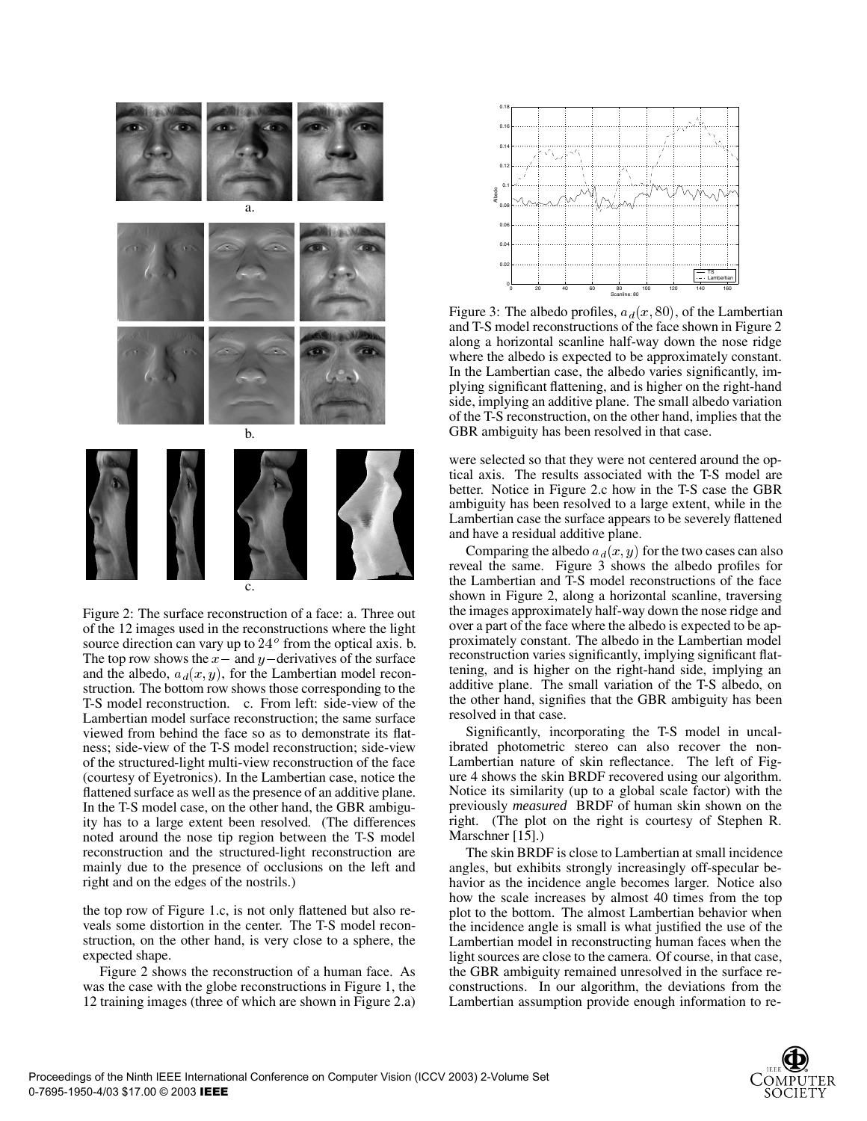

Figure 2: The surface reconstruction of a face: a. Three out of the 12 images used in the reconstructions where the light source direction can vary up to  $24^{\circ}$  from the optical axis. b. The top row shows the  $x-$  and  $y-$ derivatives of the surface and the albedo,  $a_d(x, y)$ , for the Lambertian model reconstruction. The bottom row shows those corresponding to the T-S model reconstruction. c. From left: side-view of the Lambertian model surface reconstruction; the same surface viewed from behind the face so as to demonstrate its flatness; side-view of the T-S model reconstruction; side-view of the structured-light multi-view reconstruction of the face (courtesy of Eyetronics). In the Lambertian case, notice the flattened surface as well as the presence of an additive plane. In the T-S model case, on the other hand, the GBR ambiguity has to a large extent been resolved. (The differences noted around the nose tip region between the T-S model reconstruction and the structured-light reconstruction are mainly due to the presence of occlusions on the left and right and on the edges of the nostrils.)

the top row of Figure 1.c, is not only flattened but also reveals some distortion in the center. The T-S model reconstruction, on the other hand, is very close to a sphere, the expected shape.

Figure 2 shows the reconstruction of a human face. As was the case with the globe reconstructions in Figure 1, the 12 training images (three of which are shown in Figure 2.a)



Figure 3: The albedo profiles,  $a_d(x, 80)$ , of the Lambertian and T-S model reconstructions of the face shown in Figure 2 along a horizontal scanline half-way down the nose ridge where the albedo is expected to be approximately constant. In the Lambertian case, the albedo varies significantly, implying significant flattening, and is higher on the right-hand side, implying an additive plane. The small albedo variation of the T-S reconstruction, on the other hand, implies that the GBR ambiguity has been resolved in that case.

were selected so that they were not centered around the optical axis. The results associated with the T-S model are better. Notice in Figure 2.c how in the T-S case the GBR ambiguity has been resolved to a large extent, while in the Lambertian case the surface appears to be severely flattened and have a residual additive plane.

Comparing the albedo  $a_d(x, y)$  for the two cases can also reveal the same. Figure 3 shows the albedo profiles for the Lambertian and T-S model reconstructions of the face shown in Figure 2, along a horizontal scanline, traversing the images approximately half-way down the nose ridge and over a part of the face where the albedo is expected to be approximately constant. The albedo in the Lambertian model reconstruction varies significantly, implying significant flattening, and is higher on the right-hand side, implying an additive plane. The small variation of the T-S albedo, on the other hand, signifies that the GBR ambiguity has been resolved in that case.

Significantly, incorporating the T-S model in uncalibrated photometric stereo can also recover the non-Lambertian nature of skin reflectance. The left of Figure 4 shows the skin BRDF recovered using our algorithm. Notice its similarity (up to a global scale factor) with the previously *measured* BRDF of human skin shown on the right. (The plot on the right is courtesy of Stephen R. Marschner [15].)

The skin BRDF is close to Lambertian at small incidence angles, but exhibits strongly increasingly off-specular behavior as the incidence angle becomes larger. Notice also how the scale increases by almost 40 times from the top plot to the bottom. The almost Lambertian behavior when the incidence angle is small is what justified the use of the Lambertian model in reconstructing human faces when the light sources are close to the camera. Of course, in that case, the GBR ambiguity remained unresolved in the surface reconstructions. In our algorithm, the deviations from the Lambertian assumption provide enough information to re-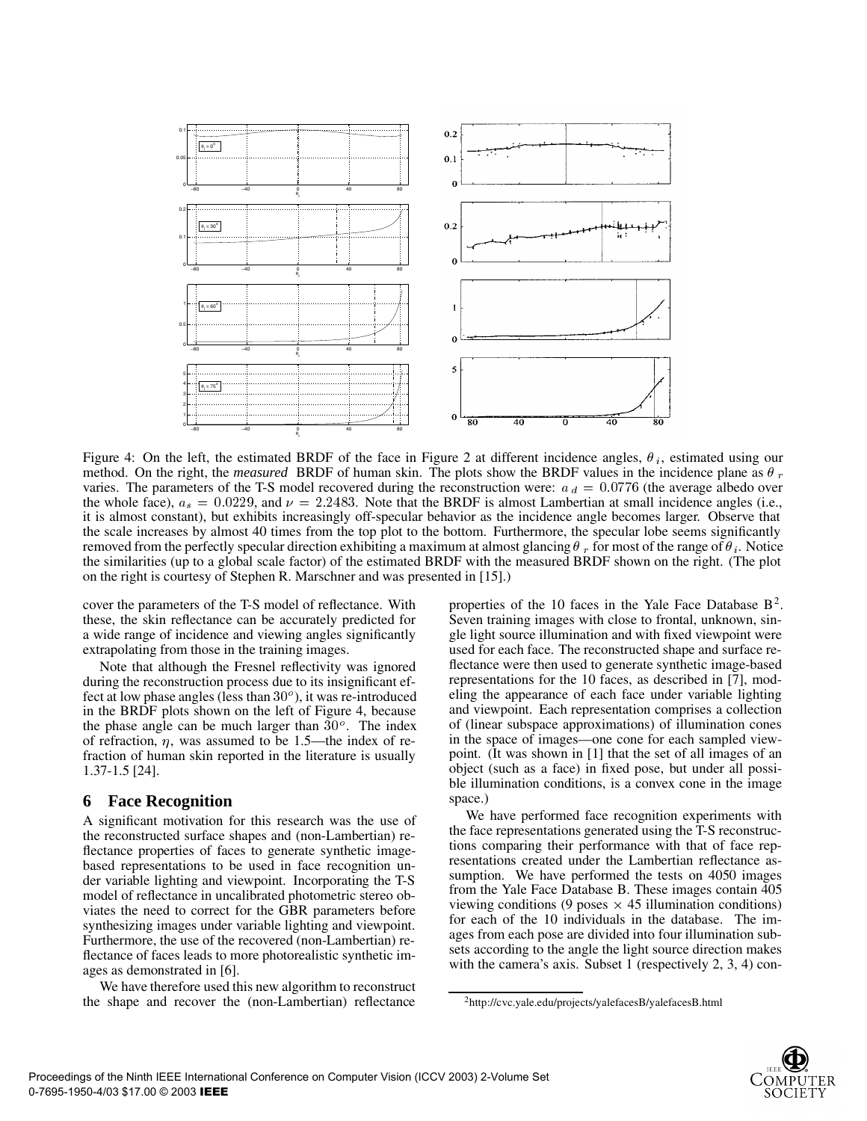

Figure 4: On the left, the estimated BRDF of the face in Figure 2 at different incidence angles,  $\theta_i$ , estimated using our method. On the right, the *measured* BRDF of human skin. The plots show the BRDF values in the incidence plane as  $\theta_r$ varies. The parameters of the T-S model recovered during the reconstruction were:  $a_d = 0.0776$  (the average albedo over the whole face),  $a_s = 0.0229$ , and  $\nu = 2.2483$ . Note that the BRDF is almost Lambertian at small incidence angles (i.e., it is almost constant), but exhibits increasingly off-specular behavior as the incidence angle becomes larger. Observe that the scale increases by almost 40 times from the top plot to the bottom. Furthermore, the specular lobe seems significantly removed from the perfectly specular direction exhibiting a maximum at almost glancing  $\theta_r$  for most of the range of  $\theta_i$ . Notice the similarities (up to a global scale factor) of the estimated BRDF with the measured BRDF shown on the right. (The plot on the right is courtesy of Stephen R. Marschner and was presented in [15].)

cover the parameters of the T-S model of reflectance. With these, the skin reflectance can be accurately predicted for a wide range of incidence and viewing angles significantly extrapolating from those in the training images.

Note that although the Fresnel reflectivity was ignored during the reconstruction process due to its insignificant effect at low phase angles (less than  $30^{\circ}$ ), it was re-introduced in the BRDF plots shown on the left of Figure 4, because the phase angle can be much larger than  $30^\circ$ . The index of refraction,  $\eta$ , was assumed to be 1.5—the index of refraction of human skin reported in the literature is usually 1.37-1.5 [24].

### **6 Face Recognition**

A significant motivation for this research was the use of the reconstructed surface shapes and (non-Lambertian) reflectance properties of faces to generate synthetic imagebased representations to be used in face recognition under variable lighting and viewpoint. Incorporating the T-S model of reflectance in uncalibrated photometric stereo obviates the need to correct for the GBR parameters before synthesizing images under variable lighting and viewpoint. Furthermore, the use of the recovered (non-Lambertian) reflectance of faces leads to more photorealistic synthetic images as demonstrated in [6].

We have therefore used this new algorithm to reconstruct the shape and recover the (non-Lambertian) reflectance

properties of the 10 faces in the Yale Face Database  $B^2$ . Seven training images with close to frontal, unknown, single light source illumination and with fixed viewpoint were used for each face. The reconstructed shape and surface reflectance were then used to generate synthetic image-based representations for the 10 faces, as described in [7], modeling the appearance of each face under variable lighting and viewpoint. Each representation comprises a collection of (linear subspace approximations) of illumination cones in the space of images—one cone for each sampled viewpoint. (It was shown in [1] that the set of all images of an object (such as a face) in fixed pose, but under all possible illumination conditions, is a convex cone in the image space.)

We have performed face recognition experiments with the face representations generated using the T-S reconstructions comparing their performance with that of face representations created under the Lambertian reflectance assumption. We have performed the tests on 4050 images from the Yale Face Database B. These images contain 405 viewing conditions (9 poses  $\times$  45 illumination conditions) for each of the 10 individuals in the database. The images from each pose are divided into four illumination subsets according to the angle the light source direction makes with the camera's axis. Subset 1 (respectively 2, 3, 4) con-

<sup>2</sup>http://cvc.yale.edu/projects/yalefacesB/yalefacesB.html